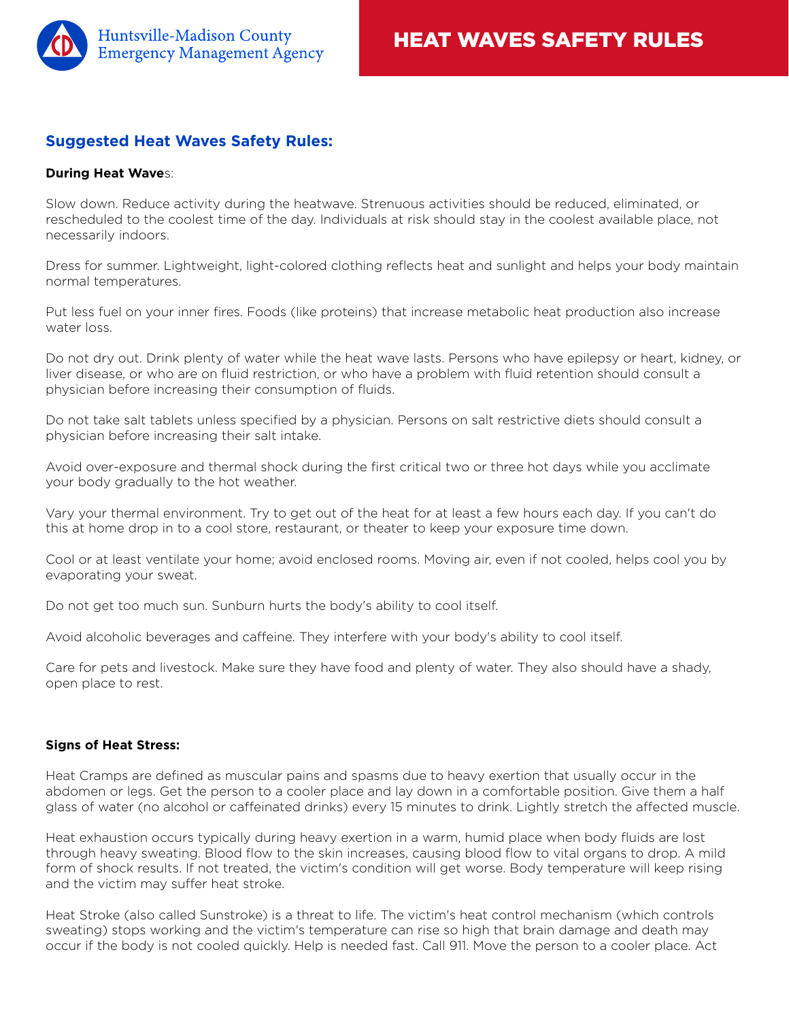

## **Suggested Heat Waves Safety Rules:**

## **During Heat Wave**s:

Slow down. Reduce activity during the heatwave. Strenuous activities should be reduced, eliminated, or rescheduled to the coolest time of the day. Individuals at risk should stay in the coolest available place, not necessarily indoors.

Dress for summer. Lightweight, light-colored clothing reflects heat and sunlight and helps your body maintain normal temperatures.

Put less fuel on your inner fires. Foods (like proteins) that increase metabolic heat production also increase water loss.

Do not dry out. Drink plenty of water while the heat wave lasts. Persons who have epilepsy or heart, kidney, or liver disease, or who are on fluid restriction, or who have a problem with fluid retention should consult a physician before increasing their consumption of fluids.

Do not take salt tablets unless specified by a physician. Persons on salt restrictive diets should consult a physician before increasing their salt intake.

Avoid over-exposure and thermal shock during the first critical two or three hot days while you acclimate your body gradually to the hot weather.

Vary your thermal environment. Try to get out of the heat for at least a few hours each day. If you can't do this at home drop in to a cool store, restaurant, or theater to keep your exposure time down.

Cool or at least ventilate your home; avoid enclosed rooms. Moving air, even if not cooled, helps cool you by evaporating your sweat.

Do not get too much sun. Sunburn hurts the body's ability to cool itself.

Avoid alcoholic beverages and caffeine. They interfere with your body's ability to cool itself.

Care for pets and livestock. Make sure they have food and plenty of water. They also should have a shady, open place to rest.

## **Signs of Heat Stress:**

Heat Cramps are defined as muscular pains and spasms due to heavy exertion that usually occur in the abdomen or legs. Get the person to a cooler place and lay down in a comfortable position. Give them a half glass of water (no alcohol or caffeinated drinks) every 15 minutes to drink. Lightly stretch the affected muscle.

Heat exhaustion occurs typically during heavy exertion in a warm, humid place when body fluids are lost through heavy sweating. Blood flow to the skin increases, causing blood flow to vital organs to drop. A mild form of shock results. If not treated, the victim's condition will get worse. Body temperature will keep rising and the victim may suffer heat stroke.

Heat Stroke (also called Sunstroke) is a threat to life. The victim's heat control mechanism (which controls sweating) stops working and the victim's temperature can rise so high that brain damage and death may occur if the body is not cooled quickly. Help is needed fast. Call 911. Move the person to a cooler place. Act